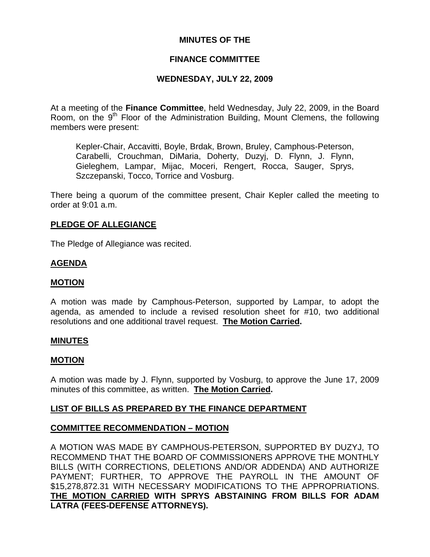# **MINUTES OF THE**

# **FINANCE COMMITTEE**

# **WEDNESDAY, JULY 22, 2009**

At a meeting of the **Finance Committee**, held Wednesday, July 22, 2009, in the Board Room, on the 9<sup>th</sup> Floor of the Administration Building, Mount Clemens, the following members were present:

Kepler-Chair, Accavitti, Boyle, Brdak, Brown, Bruley, Camphous-Peterson, Carabelli, Crouchman, DiMaria, Doherty, Duzyj, D. Flynn, J. Flynn, Gieleghem, Lampar, Mijac, Moceri, Rengert, Rocca, Sauger, Sprys, Szczepanski, Tocco, Torrice and Vosburg.

There being a quorum of the committee present, Chair Kepler called the meeting to order at 9:01 a.m.

### **PLEDGE OF ALLEGIANCE**

The Pledge of Allegiance was recited.

### **AGENDA**

### **MOTION**

A motion was made by Camphous-Peterson, supported by Lampar, to adopt the agenda, as amended to include a revised resolution sheet for #10, two additional resolutions and one additional travel request. **The Motion Carried.** 

#### **MINUTES**

#### **MOTION**

A motion was made by J. Flynn, supported by Vosburg, to approve the June 17, 2009 minutes of this committee, as written. **The Motion Carried.** 

### **LIST OF BILLS AS PREPARED BY THE FINANCE DEPARTMENT**

### **COMMITTEE RECOMMENDATION – MOTION**

A MOTION WAS MADE BY CAMPHOUS-PETERSON, SUPPORTED BY DUZYJ, TO RECOMMEND THAT THE BOARD OF COMMISSIONERS APPROVE THE MONTHLY BILLS (WITH CORRECTIONS, DELETIONS AND/OR ADDENDA) AND AUTHORIZE PAYMENT; FURTHER, TO APPROVE THE PAYROLL IN THE AMOUNT OF \$15,278,872.31 WITH NECESSARY MODIFICATIONS TO THE APPROPRIATIONS. **THE MOTION CARRIED WITH SPRYS ABSTAINING FROM BILLS FOR ADAM LATRA (FEES-DEFENSE ATTORNEYS).**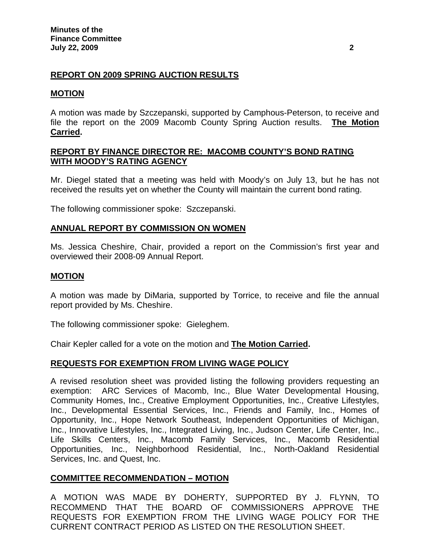# **REPORT ON 2009 SPRING AUCTION RESULTS**

# **MOTION**

A motion was made by Szczepanski, supported by Camphous-Peterson, to receive and file the report on the 2009 Macomb County Spring Auction results. **The Motion Carried.** 

## **REPORT BY FINANCE DIRECTOR RE: MACOMB COUNTY'S BOND RATING WITH MOODY'S RATING AGENCY**

Mr. Diegel stated that a meeting was held with Moody's on July 13, but he has not received the results yet on whether the County will maintain the current bond rating.

The following commissioner spoke: Szczepanski.

### **ANNUAL REPORT BY COMMISSION ON WOMEN**

Ms. Jessica Cheshire, Chair, provided a report on the Commission's first year and overviewed their 2008-09 Annual Report.

## **MOTION**

A motion was made by DiMaria, supported by Torrice, to receive and file the annual report provided by Ms. Cheshire.

The following commissioner spoke: Gieleghem.

Chair Kepler called for a vote on the motion and **The Motion Carried.** 

### **REQUESTS FOR EXEMPTION FROM LIVING WAGE POLICY**

A revised resolution sheet was provided listing the following providers requesting an exemption: ARC Services of Macomb, Inc., Blue Water Developmental Housing, Community Homes, Inc., Creative Employment Opportunities, Inc., Creative Lifestyles, Inc., Developmental Essential Services, Inc., Friends and Family, Inc., Homes of Opportunity, Inc., Hope Network Southeast, Independent Opportunities of Michigan, Inc., Innovative Lifestyles, Inc., Integrated Living, Inc., Judson Center, Life Center, Inc., Life Skills Centers, Inc., Macomb Family Services, Inc., Macomb Residential Opportunities, Inc., Neighborhood Residential, Inc., North-Oakland Residential Services, Inc. and Quest, Inc.

### **COMMITTEE RECOMMENDATION – MOTION**

A MOTION WAS MADE BY DOHERTY, SUPPORTED BY J. FLYNN, TO RECOMMEND THAT THE BOARD OF COMMISSIONERS APPROVE THE REQUESTS FOR EXEMPTION FROM THE LIVING WAGE POLICY FOR THE CURRENT CONTRACT PERIOD AS LISTED ON THE RESOLUTION SHEET.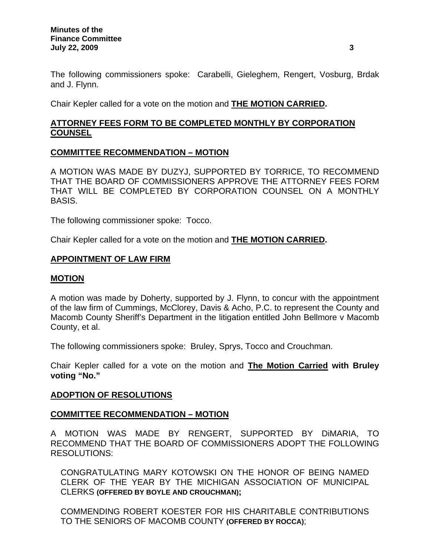The following commissioners spoke: Carabelli, Gieleghem, Rengert, Vosburg, Brdak and J. Flynn.

Chair Kepler called for a vote on the motion and **THE MOTION CARRIED.** 

# **ATTORNEY FEES FORM TO BE COMPLETED MONTHLY BY CORPORATION COUNSEL**

# **COMMITTEE RECOMMENDATION – MOTION**

A MOTION WAS MADE BY DUZYJ, SUPPORTED BY TORRICE, TO RECOMMEND THAT THE BOARD OF COMMISSIONERS APPROVE THE ATTORNEY FEES FORM THAT WILL BE COMPLETED BY CORPORATION COUNSEL ON A MONTHLY BASIS.

The following commissioner spoke: Tocco.

Chair Kepler called for a vote on the motion and **THE MOTION CARRIED.** 

## **APPOINTMENT OF LAW FIRM**

### **MOTION**

A motion was made by Doherty, supported by J. Flynn, to concur with the appointment of the law firm of Cummings, McClorey, Davis & Acho, P.C. to represent the County and Macomb County Sheriff's Department in the litigation entitled John Bellmore v Macomb County, et al.

The following commissioners spoke: Bruley, Sprys, Tocco and Crouchman.

Chair Kepler called for a vote on the motion and **The Motion Carried with Bruley voting "No."** 

### **ADOPTION OF RESOLUTIONS**

### **COMMITTEE RECOMMENDATION – MOTION**

A MOTION WAS MADE BY RENGERT, SUPPORTED BY DiMARIA, TO RECOMMEND THAT THE BOARD OF COMMISSIONERS ADOPT THE FOLLOWING RESOLUTIONS:

CONGRATULATING MARY KOTOWSKI ON THE HONOR OF BEING NAMED CLERK OF THE YEAR BY THE MICHIGAN ASSOCIATION OF MUNICIPAL CLERKS **(OFFERED BY BOYLE AND CROUCHMAN);** 

COMMENDING ROBERT KOESTER FOR HIS CHARITABLE CONTRIBUTIONS TO THE SENIORS OF MACOMB COUNTY **(OFFERED BY ROCCA)**;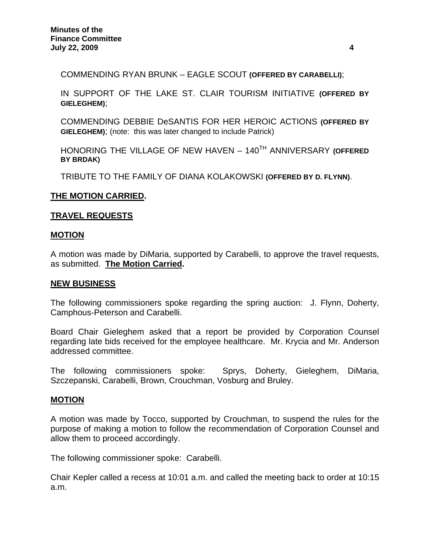COMMENDING RYAN BRUNK – EAGLE SCOUT **(OFFERED BY CARABELLI)**;

IN SUPPORT OF THE LAKE ST. CLAIR TOURISM INITIATIVE **(OFFERED BY GIELEGHEM)**;

COMMENDING DEBBIE DeSANTIS FOR HER HEROIC ACTIONS **(OFFERED BY GIELEGHEM)**; (note: this was later changed to include Patrick)

HONORING THE VILLAGE OF NEW HAVEN – 140TH ANNIVERSARY **(OFFERED BY BRDAK)** 

TRIBUTE TO THE FAMILY OF DIANA KOLAKOWSKI **(OFFERED BY D. FLYNN)**.

### **THE MOTION CARRIED.**

### **TRAVEL REQUESTS**

### **MOTION**

A motion was made by DiMaria, supported by Carabelli, to approve the travel requests, as submitted. **The Motion Carried.** 

#### **NEW BUSINESS**

The following commissioners spoke regarding the spring auction: J. Flynn, Doherty, Camphous-Peterson and Carabelli.

Board Chair Gieleghem asked that a report be provided by Corporation Counsel regarding late bids received for the employee healthcare. Mr. Krycia and Mr. Anderson addressed committee.

The following commissioners spoke: Sprys, Doherty, Gieleghem, DiMaria, Szczepanski, Carabelli, Brown, Crouchman, Vosburg and Bruley.

### **MOTION**

A motion was made by Tocco, supported by Crouchman, to suspend the rules for the purpose of making a motion to follow the recommendation of Corporation Counsel and allow them to proceed accordingly.

The following commissioner spoke: Carabelli.

Chair Kepler called a recess at 10:01 a.m. and called the meeting back to order at 10:15 a.m.